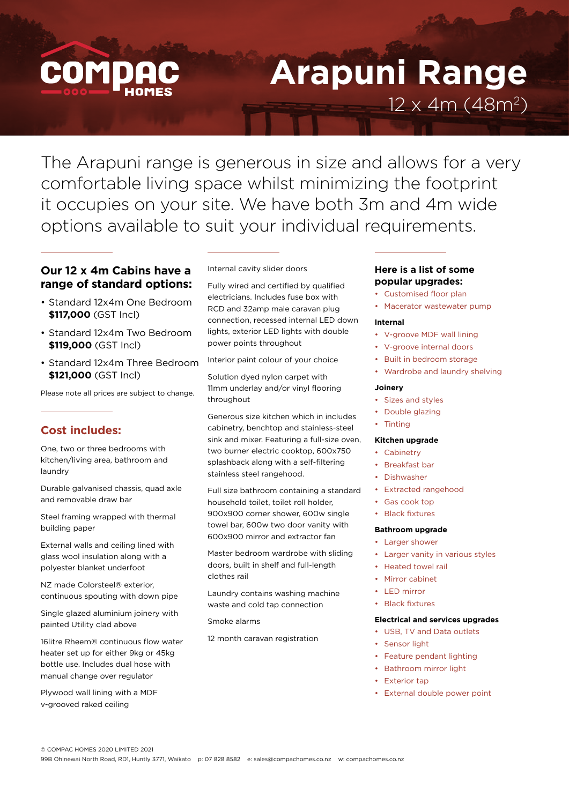

# **Arapuni Range** 12 x 4m (48m2)

The Arapuni range is generous in size and allows for a very comfortable living space whilst minimizing the footprint it occupies on your site. We have both 3m and 4m wide options available to suit your individual requirements.

## **Our 12 x 4m Cabins have a range of standard options:**

- Standard 12x4m One Bedroom **\$117,000** (GST Incl)
- Standard 12x4m Two Bedroom **\$119,000** (GST Incl)
- Standard 12x4m Three Bedroom **\$121,000** (GST Incl)

Please note all prices are subject to change.

## **Cost includes:**

One, two or three bedrooms with kitchen/living area, bathroom and laundry

Durable galvanised chassis, quad axle and removable draw bar

Steel framing wrapped with thermal building paper

External walls and ceiling lined with glass wool insulation along with a polyester blanket underfoot

NZ made Colorsteel® exterior, continuous spouting with down pipe

Single glazed aluminium joinery with painted Utility clad above

16litre Rheem® continuous flow water heater set up for either 9kg or 45kg bottle use. Includes dual hose with manual change over regulator

Plywood wall lining with a MDF v-grooved raked ceiling

#### Internal cavity slider doors

Fully wired and certified by qualified electricians. Includes fuse box with RCD and 32amp male caravan plug connection, recessed internal LED down lights, exterior LED lights with double power points throughout

Interior paint colour of your choice

Solution dyed nylon carpet with 11mm underlay and/or vinyl flooring throughout

Generous size kitchen which in includes cabinetry, benchtop and stainless-steel sink and mixer. Featuring a full-size oven, two burner electric cooktop, 600x750 splashback along with a self-filtering stainless steel rangehood.

Full size bathroom containing a standard household toilet, toilet roll holder, 900x900 corner shower, 600w single towel bar, 600w two door vanity with 600x900 mirror and extractor fan

Master bedroom wardrobe with sliding doors, built in shelf and full-length clothes rail

Laundry contains washing machine waste and cold tap connection

Smoke alarms

12 month caravan registration

### **Here is a list of some popular upgrades:**

- Customised floor plan
- Macerator wastewater pump

#### **Internal**

- V-groove MDF wall lining
- V-groove internal doors
- Built in bedroom storage
- Wardrobe and laundry shelving

#### **Joinery**

- Sizes and styles
- Double glazing
- Tinting

#### **Kitchen upgrade**

- Cabinetry
- Breakfast bar
- Dishwasher
- Extracted rangehood
- Gas cook top

## **Black fixtures**

### **Bathroom upgrade**

- Larger shower
- Larger vanity in various styles
- Heated towel rail
- Mirror cabinet
- LED mirror
- Black fixtures

#### **Electrical and services upgrades**

- USB, TV and Data outlets
- Sensor light
- Feature pendant lighting
- Bathroom mirror light
- **Exterior tap**
- External double power point